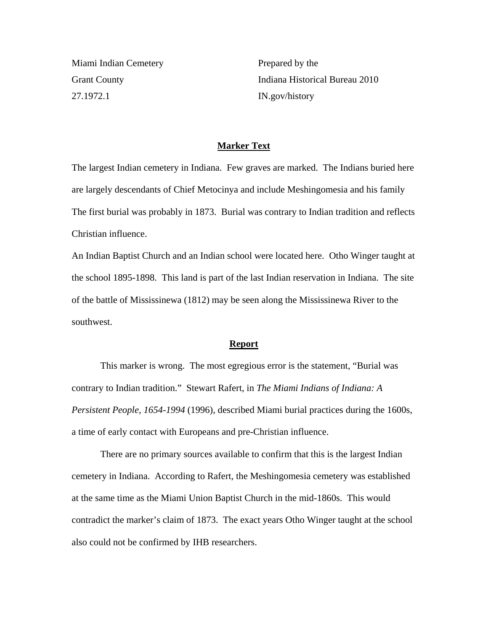Miami Indian Cemetery Grant County 27.1972.1

Prepared by the Indiana Historical Bureau 2010 IN.gov/history

## **Marker Text**

The largest Indian cemetery in Indiana. Few graves are marked. The Indians buried here are largely descendants of Chief Metocinya and include Meshingomesia and his family The first burial was probably in 1873. Burial was contrary to Indian tradition and reflects Christian influence.

An Indian Baptist Church and an Indian school were located here. Otho Winger taught at the school 1895-1898. This land is part of the last Indian reservation in Indiana. The site of the battle of Mississinewa (1812) may be seen along the Mississinewa River to the southwest.

## **Report**

 This marker is wrong. The most egregious error is the statement, "Burial was contrary to Indian tradition." Stewart Rafert, in *The Miami Indians of Indiana: A Persistent People, 1654-1994* (1996), described Miami burial practices during the 1600s, a time of early contact with Europeans and pre-Christian influence.

 There are no primary sources available to confirm that this is the largest Indian cemetery in Indiana. According to Rafert, the Meshingomesia cemetery was established at the same time as the Miami Union Baptist Church in the mid-1860s. This would contradict the marker's claim of 1873. The exact years Otho Winger taught at the school also could not be confirmed by IHB researchers.